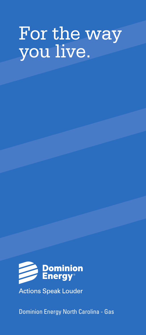# For the way you live.



**Actions Speak Louder** 

Dominion Energy North Carolina - Gas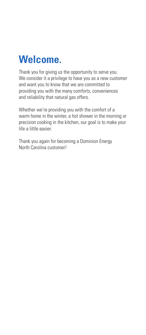

Thank you for giving us the opportunity to serve you. We consider it a privilege to have you as a new customer and want you to know that we are committed to providing you with the many comforts, conveniences and reliability that natural gas offers.

Whether we're providing you with the comfort of a warm home in the winter, a hot shower in the morning or precision cooking in the kitchen, our goal is to make your life a little easier.

Thank you again for becoming a Dominion Energy North Carolina customer!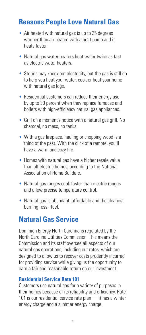## **Reasons People Love Natural Gas**

- Air heated with natural gas is up to 25 degrees warmer than air heated with a heat pump and it heats faster.
- Natural gas water heaters heat water twice as fast as electric water heaters.
- Storms may knock out electricity, but the gas is still on to help you heat your water, cook or heat your home with natural gas logs.
- Residential customers can reduce their energy use by up to 30 percent when they replace furnaces and boilers with high-efficiency natural gas appliances.
- Grill on a moment's notice with a natural gas grill. No charcoal, no mess, no tanks.
- With a gas fireplace, hauling or chopping wood is a thing of the past. With the click of a remote, you'll have a warm and cozy fire.
- Homes with natural gas have a higher resale value than all-electric homes, according to the National Association of Home Builders.
- Natural gas ranges cook faster than electric ranges and allow precise temperature control.
- Natural gas is abundant, affordable and the cleanest burning fossil fuel.

## **Natural Gas Service**

Dominion Energy North Carolina is regulated by the North Carolina Utilities Commission. This means the Commission and its staff oversee all aspects of our natural gas operations, including our rates, which are designed to allow us to recover costs prudently incurred for providing service while giving us the opportunity to earn a fair and reasonable return on our investment.

#### **Residential Service Rate 101**

Customers use natural gas for a variety of purposes in their homes because of its reliability and efficiency. Rate 101 is our residential service rate plan — it has a winter energy charge and a summer energy charge.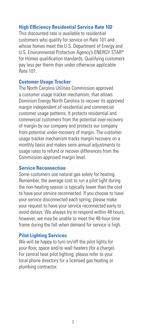#### **High Efficiency Residential Service Rate 102**

This discounted rate is available to residential customers who qualify for service on Rate 101 and whose homes meet the U.S. Department of Energy and U.S. Environmental Protection Agency's ENERGY STAR® for Homes qualification standards. Qualifying customers pay less per therm than under otherwise applicable Rate 101.

#### **Customer Usage Tracker**

The North Carolina Utilities Commission approved a customer usage tracker mechanism, that allows Dominion Energy North Carolina to recover its approved margin independent of residential and commercial customer usage patterns. It protects residential and commercial customers from the potential over-recovery of margin by our company and protects our company from potential under-recovery of margin. The customer usage tracker mechanism tracks margin recovery on a monthly basis and makes semi-annual adjustments to usage rates to refund or recover differences from the Commission-approved margin level.

## **Service Reconnection**

Some customers use natural gas solely for heating. Remember, the average cost to run a pilot light during the non-heating season is typically lower than the cost to have your service reconnected. If you choose to have your service disconnected each spring, please make your request to have your service reconnected early to avoid delays. We always try to respond within 48 hours, however, we may be unable to meet the 48-hour time frame during the fall when demand for service is high.

#### **Pilot Lighting Services**

We will be happy to turn on/off the pilot lights for your floor, space and/or wall heaters (for a charge). For central heat pilot lighting, please refer to your local phone directory for a licensed gas heating or plumbing contractor.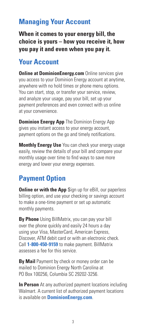## **Managing Your Account**

**When it comes to your energy bill, the choice is yours – how you receive it, how you pay it and even when you pay it.**

## **Your Account**

**Online at DominionEnergy.com** Online services give you access to your Dominion Energy account at anytime, anywhere with no hold times or phone menu options. You can start, stop, or transfer your service, review, and analyze your usage, pay your bill, set up your payment preferences and even connect with us online at your convenience.

**Dominion Energy App** The Dominion Energy App gives you instant access to your energy account, payment options on the go and timely notifications.

**Monthly Energy Use** You can check your energy usage easily, review the details of your bill and compare your monthly usage over time to find ways to save more energy and lower your energy expenses.

## **Payment Option**

**Online or with the App** Sign up for eBill, our paperless billing option, and use your checking or savings account to make a one-time payment or set up automatic monthly payments.

**By Phone** Using BillMatrix, you can pay your bill over the phone quickly and easily 24 hours a day using your Visa, MasterCard, American Express, Discover, ATM debit card or with an electronic check. Call **1-800-450-9159** to make payment. BillMatrix assesses a fee for this service.

**By Mail** Payment by check or money order can be mailed to Dominion Energy North Carolina at PO Box 100256, Columbia SC 29202-3256.

**In Person** At any authorized payment locations including Walmart. A current list of authorized payment locations is available on **DominionEnergy.com**.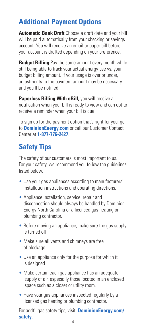# **Additional Payment Options**

**Automatic Bank Draft** Choose a draft date and your bill will be paid automatically from your checking or savings account. You will receive an email or paper bill before your account is drafted depending on your preference.

**Budget Billing** Pay the same amount every month while still being able to track your actual energy use vs. your budget billing amount. If your usage is over or under, adjustments to the payment amount may be necessary and you'll be notified.

**Paperless Billing With eBill, you will receive a** notification when your bill is ready to view and can opt to receive a reminder when your bill is due.

To sign up for the payment option that's right for you, go to **DominionEnergy.com** or call our Customer Contact Center at **1-877-776-2427**.

# **Safety Tips**

The safety of our customers is most important to us. For your safety, we recommend you follow the guidelines listed below.

- Use your gas appliances according to manufacturers' installation instructions and operating directions.
- Appliance installation, service, repair and disconnection should always be handled by Dominion Energy North Carolina or a licensed gas heating or plumbing contractor.
- Before moving an appliance, make sure the gas supply is turned off.
- Make sure all vents and chimneys are free of blockage.
- Use an appliance only for the purpose for which it is designed.
- Make certain each gas appliance has an adequate supply of air, especially those located in an enclosed space such as a closet or utility room.
- Have your gas appliances inspected regularly by a licensed gas heating or plumbing contractor.

For addt'l gas safety tips, visit: **DominionEnergy.com/ safety**.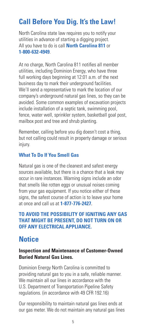## **Call Before You Dig. It's the Law!**

North Carolina state law requires you to notify your utilities in advance of starting a digging project. All you have to do is call **North Carolina 811** or **1-800-632-4949**.

At no charge, North Carolina 811 notifies all member utilities, including Dominion Energy, who have three full working days beginning at 12:01 a.m. of the next business day to mark their underground facilities. We'll send a representative to mark the location of our company's underground natural gas lines, so they can be avoided. Some common examples of excavation projects include installation of a septic tank, swimming pool, fence, water well, sprinkler system, basketball goal post, mailbox post and tree and shrub planting.

Remember, calling before you dig doesn't cost a thing, but not calling could result in property damage or serious injury.

#### **What To Do If You Smell Gas**

Natural gas is one of the cleanest and safest energy sources available, but there is a chance that a leak may occur in rare instances. Warning signs include an odor that smells like rotten eggs or unusual noises coming from your gas equipment. If you notice either of these signs, the safest course of action is to leave your home at once and call us at **1-877-776-2427**.

#### **TO AVOID THE POSSIBILITY OF IGNITING ANY GAS THAT MIGHT BE PRESENT, DO NOT TURN ON OR OFF ANY ELECTRICAL APPLIANCE.**

## **Notice**

#### **Inspection and Maintenance of Customer-Owned Buried Natural Gas Lines.**

Dominion Energy North Carolina is committed to providing natural gas to you in a safe, reliable manner. We maintain all our lines in accordance with the U.S. Department of Transportation Pipeline Safety regulations. (in accordance with 49 CFR 192.16)

Our responsibility to maintain natural gas lines ends at our gas meter. We do not maintain any natural gas lines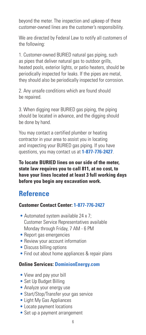beyond the meter. The inspection and upkeep of these customer-owned lines are the customer's responsibility.

We are directed by Federal Law to notify all customers of the following:

1. Customer-owned BURIED natural gas piping, such as pipes that deliver natural gas to outdoor grills, heated pools, exterior lights, or patio heaters, should be periodically inspected for leaks. If the pipes are metal, they should also be periodically inspected for corrosion.

2. Any unsafe conditions which are found should be repaired.

3. When digging near BURIED gas piping, the piping should be located in advance, and the digging should be done by hand.

You may contact a certified plumber or heating contractor in your area to assist you in locating and inspecting your BURIED gas piping. If you have questions, you may contact us at **1-877-776-2427**.

**To locate BURIED lines on our side of the meter, state law requires you to call 811, at no cost, to have your lines located at least 3 full working days before you begin any excavation work.**

## **Reference**

## **Customer Contact Center: 1-877-776-2427**

- Automated system available 24 x 7; Customer Service Representatives available Monday through Friday, 7 AM - 6 PM
- Report gas emergencies
- Review your account information
- Discuss billing options
- Find out about home appliances & repair plans

## **Online Services: DominionEnergy.com**

- View and pay your bill
- Set Up Budget Billing
- Analyze your energy use
- Start/Stop/Transfer your gas service
- Light My Gas Appliances
- Locate payment locations
- Set up a payment arrangement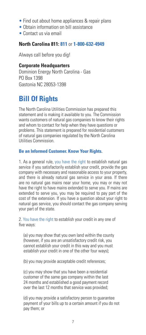- Find out about home appliances & repair plans
- Obtain information on bill assistance
- Contact us via email

#### **North Carolina 811: 811** or **1-800-632-4949**

Always call before you dig!

#### **Corporate Headquarters**

Dominion Energy North Carolina - Gas PO Box 1398 Gastonia NC 28053-1398

## **Bill Of Rights**

The North Carolina Utilities Commission has prepared this statement and is making it available to you. The Commission wants customers of natural gas companies to know their rights and whom to contact for help when they have questions or problems. This statement is prepared for residential customers of natural gas companies regulated by the North Carolina Utilities Commission.

#### **Be an Informed Customer. Know Your Rights.**

1. As a general rule, you have the right to establish natural gas service if you satisfactorily establish your credit, provide the gas company with necessary and reasonable access to your property, and there is already natural gas service in your area. If there are no natural gas mains near your home, you may or may not have the right to have mains extended to serve you. If mains are extended to serve you, you may be required to pay part of the cost of the extension. If you have a question about your right to natural gas service, you should contact the gas company serving your part of the state.

2. You have the right to establish your credit in any one of five ways:

(a) you may show that you own land within the county (however, if you are an unsatisfactory credit risk, you cannot establish your credit in this way and you must establish your credit in one of the other four ways);

(b) you may provide acceptable credit references;

(c) you may show that you have been a residential customer of the same gas company within the last 24 months and established a good payment record over the last 12 months that service was provided;

(d) you may provide a satisfactory person to guarantee payment of your bills up to a certain amount if you do not pay them; or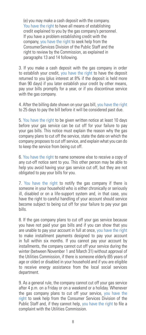(e) you may make a cash deposit with the company. You have the right to have all means of establishing credit explained to you by the gas company's personnel. If you have a problem establishing credit with the company, you have the right to seek help from the ConsumerServices Division of the Public Staff and the right to review by the Commission, as explained in paragraphs 13 and 14 following.

3. If you make a cash deposit with the gas company in order to establish your credit, you have the right to have the deposit returned to you (plus interest at 8% if the deposit is held more than 90 days) if you later establish your credit by other means, pay your bills promptly for a year, or if you discontinue service with the gas company.

4. After the billing date shown on your gas bill, you have the right to 25 days to pay the bill before it will be considered past due.

5. You have the right to be given written notice at least 10 days before your gas service can be cut off for your failure to pay your gas bills. This notice must explain the reason why the gas company plans to cut off the service, state the date on which the company proposes to cut off service, and explain what you can do to keep the service from being cut off.

6. You have the right to name someone else to receive a copy of any cut-off notice sent to you. This other person may be able to help you avoid having your gas service cut off, but they are not obligated to pay your bills for you.

7. You have the right to notify the gas company if there is someone in your household who is either chronically or seriously ill, disabled or on a life-support system and, in that case, you have the right to careful handling of your account should service become subject to being cut off for your failure to pay your gas bills.

8. If the gas company plans to cut off your gas service because you have not paid your gas bills and if you can show that you are unable to pay your account in full at once, you have the right to make installment payments designed to pay your account in full within six months. If you cannot pay your account by installments, the company cannot cut off your service during the winter (between November 1 and March 31) without approval of the Utilities Commission, if there is someone elderly (65 years of age or older) or disabled in your household and if you are eligible to receive energy assistance from the local social services department.

9. As a general rule, the company cannot cut off your gas service after 4 p.m. on a Friday or on a weekend or a holiday. Whenever the gas company plans to cut off your service, you have the right to seek help from the Consumer Services Division of the Public Staff and, if they cannot help, you have the right to file a complaint with the Utilities Commission.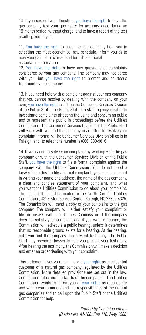10. If you suspect a malfunction, you have the right to have the gas company test your gas meter for accuracy once during an 18-month period, without charge, and to have a report of the test results given to you.

11. You have the right to have the gas company help you in selecting the most economical rate schedule, inform you as to how your gas meter is read and furnish additional reasonable information.

12. You have the right to have any questions or complaints considered by your gas company. The company may not agree with you, but you have the right to prompt and courteous treatment by the company.

13. If you need help with a complaint against your gas company that you cannot resolve by dealing with the company on your own, you have the right to call on the Consumer Services Division of the Public Staff. The Public Staff is a state agency created to investigate complaints affecting the using and consuming public and to represent the public in proceedings before the Utilities Commission. The Consumer Services Division of the Public Staff will work with you and the company in an effort to resolve your complaint informally. The Consumer Services Division office is in Raleigh, and its telephone number is (866) 380-9816.

14. If you cannot resolve your complaint by working with the gas company or with the Consumer Services Division of the Public Staff, you have the right to file a formal complaint against the company with the Utilities Commission. You do not need a lawyer to do this. To file a formal complaint, you should send out in writing your name and address, the name of the gas company, a clear and concise statement of your complaint, and what you want the Utilities Commission to do about your complaint. The complaint should be mailed to the North Carolina Utilities Commission, 4325 Mail Service Center, Raleigh, NC 27699-4325. The Commission will send a copy of your complaint to the gas company. The company will either satisfy your complaint or file an answer with the Utilities Commission. If the company does not satisfy your complaint and if you want a hearing, the Commission will schedule a public hearing, unless it determines that no reasonable ground exists for a hearing. At the hearing, both you and the company can present testimony. The Public Staff may provide a lawyer to help you present your testimony. After hearing the testimony, the Commission will make a decision and enter an order dealing with your complaint.

This statement gives you a summary of your rights as a residential customer of a natural gas company regulated by the Utilities Commission. More detailed provisions are set out in the law, Commission rules and the tariffs of the companies. The Utilities Commission wants to inform you of your rights as a consumer and wants you to understand the responsibilities of the natural gas companies and to call upon the Public Staff or the Utilities Commission for help.

> Printed by Dominion Energy (Docket No. M-100, Sub 110, May 1986)